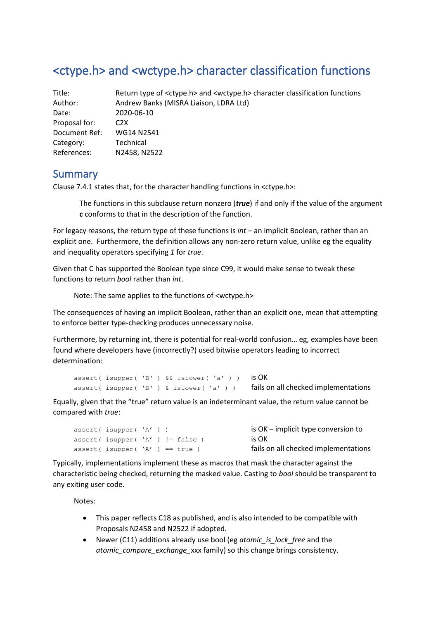# <ctype.h> and <wctype.h> character classification functions

| Title:        | Return type of <ctype.h> and <wctype.h> character classification functions</wctype.h></ctype.h> |
|---------------|-------------------------------------------------------------------------------------------------|
| Author:       | Andrew Banks (MISRA Liaison, LDRA Ltd)                                                          |
| Date:         | 2020-06-10                                                                                      |
| Proposal for: | C <sub>2</sub> X                                                                                |
| Document Ref: | WG14 N2541                                                                                      |
| Category:     | Technical                                                                                       |
| References:   | N2458, N2522                                                                                    |

### Summary

Clause 7.4.1 states that, for the character handling functions in <ctype.h>:

The functions in this subclause return nonzero (*true*) if and only if the value of the argument **c** conforms to that in the description of the function.

For legacy reasons, the return type of these functions is *int* – an implicit Boolean, rather than an explicit one. Furthermore, the definition allows any non-zero return value, unlike eg the equality and inequality operators specifying *1* for *true*.

Given that C has supported the Boolean type since C99, it would make sense to tweak these functions to return *bool* rather than *int*.

Note: The same applies to the functions of <wctype.h>

The consequences of having an implicit Boolean, rather than an explicit one, mean that attempting to enforce better type-checking produces unnecessary noise.

Furthermore, by returning int, there is potential for real-world confusion… eg, examples have been found where developers have (incorrectly?) used bitwise operators leading to incorrect determination:

```
assert( isupper( 'B' ) &\& islower( 'a' ) ) is OK
assert( isupper( 'B' ) & islower( 'a' ) ) fails on all checked implementations
```
Equally, given that the "true" return value is an indeterminant value, the return value cannot be compared with *true*:

```
assert ( isupper ( 'A' ) ) is OK – implicit type conversion to
assert( \text{ is upper}(\ 'A') \ != \text{false} ) is OK
assert( isupper( 'A' ) == true ) fails on all checked implementations
```
Typically, implementations implement these as macros that mask the character against the characteristic being checked, returning the masked value. Casting to *bool* should be transparent to any exiting user code.

Notes:

- This paper reflects C18 as published, and is also intended to be compatible with Proposals N2458 and N2522 if adopted.
- Newer (C11) additions already use bool (eg *atomic\_is\_lock\_free* and the *atomic\_compare\_exchange\_*xxx family) so this change brings consistency.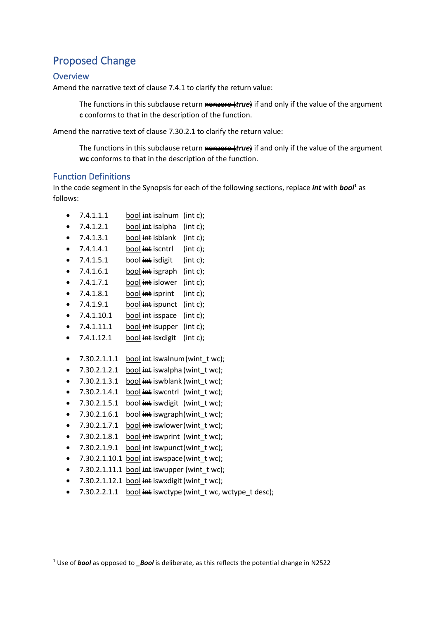# Proposed Change

#### **Overview**

Amend the narrative text of clause 7.4.1 to clarify the return value:

The functions in this subclause return nonzero (*true*) if and only if the value of the argument **c** conforms to that in the description of the function.

Amend the narrative text of clause 7.30.2.1 to clarify the return value:

The functions in this subclause return nonzero (*true*) if and only if the value of the argument **wc** conforms to that in the description of the function.

#### Function Definitions

In the code segment in the Synopsis for each of the following sections, replace *int* with *bool<sup>1</sup>* as follows:

- $\bullet$  7.4.1.1.1 bool  $\frac{1}{n+1}$  isalnum (int c):
- $\bullet$  7.4.1.2.1 bool int isalpha (int c);
- $\bullet$  7.4.1.3.1 bool int isblank (int c);
- $7.4.1.4.1$  bool intersect int c);
- $7.4.1.5.1$  bool int isdigit (int c);
- $7.4.1.6.1$  bool  $\frac{1}{100}$  interesting intermit contact interesting in the  $\frac{1}{100}$
- $7.4.1.7.1$  bool int islower (int c);
- $7.4.1.8.1$  bool  $\frac{1}{1}$  isprint (int c);
- $7.4.1.9.1$  bool int ispunct (int c);
- $7.4.1.10.1$  bool  $int$  isspace (int c);
- $7.4.1.11.1$  bool  $int$  isupper (int c);
- $7.4.1.12.1$  bool int isxdigit (int c);
- $7.30.2.1.1.1$  bool  $\frac{1}{11}$  iswalnum (wint twc);
- $7.30.2.1.2.1$  bool int iswalpha (wint t wc);
- $7.30.2.1.3.1$  bool int is when  $k$  (wint two);
- $7.30.2.1.4.1$  bool  $\frac{1}{100}$  iswentrl (wint twc);
- $7.30.2.1.5.1$  bool int iswdigit (wint twc);
- $7.30.2.1.6.1$  bool int iswgraph(wint twc);
- $7.30.2.1.7.1$  bool int iswlower(wint twc);
- $7.30.2.1.8.1$  bool int iswprint (wint twc);
- $7.30.2.1.9.1$  bool  $\frac{1}{100}$  is wo unct (wint twc):
- $7.30.2.1.10.1$  bool  $\frac{1}{100}$  intertake is wspace (wint twc);
- $7.30.2.1.11.1$  bool int iswupper (wint t wc);
- 7.30.2.1.12.1 bool  $\frac{1}{n+1}$  is wx digit (wint twc);
- 7.30.2.2.1.1 bool  $\frac{1}{n+1}$  iswctype (wint twc, wctype t desc);

<sup>1</sup> Use of *bool* as opposed to *\_Bool* is deliberate, as this reflects the potential change in N2522